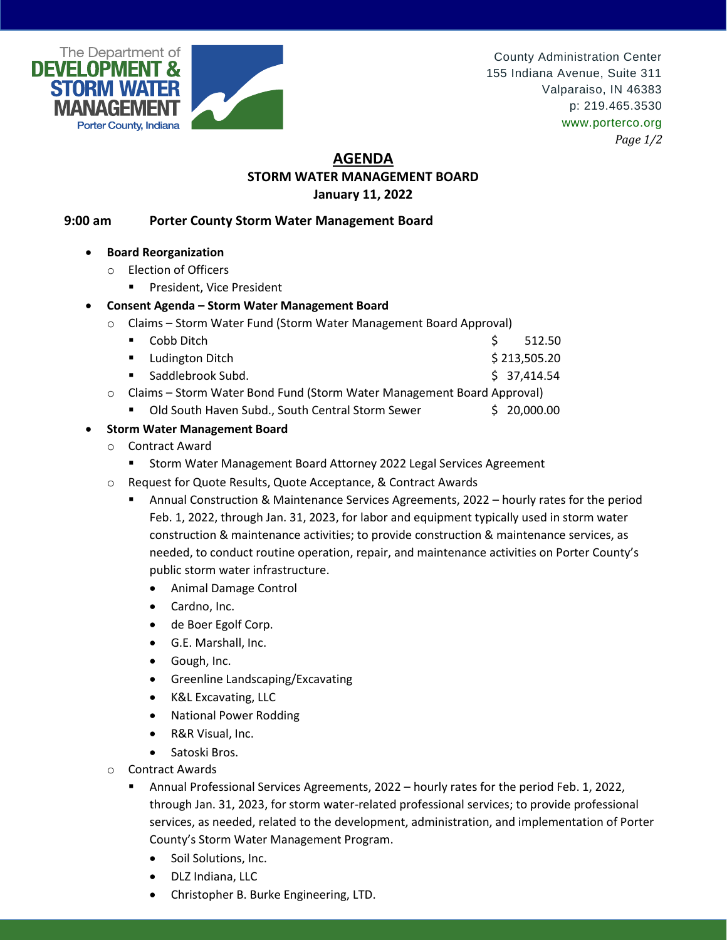

County Administration Center 155 Indiana Avenue, Suite 311 Valparaiso, IN 46383 p: 219.465.3530 www.porterco.org *Page 1/2*

## **AGENDA STORM WATER MANAGEMENT BOARD January 11, 2022**

## **9:00 am Porter County Storm Water Management Board**

- **Board Reorganization** 
	- o Election of Officers
		- **President, Vice President**

## **Consent Agenda – Storm Water Management Board**

- o Claims Storm Water Fund (Storm Water Management Board Approval)
	- $\blacksquare$  Cobb Ditch  $\blacksquare$  512.50
	- Ludington Ditch \$ 213,505.20
	- $\blacksquare$  Saddlebrook Subd.  $\spadesuit$  37,414.54
- o Claims Storm Water Bond Fund (Storm Water Management Board Approval)
	- Old South Haven Subd., South Central Storm Sewer \$ 20,000.00
- **Storm Water Management Board**
	- o Contract Award
		- Storm Water Management Board Attorney 2022 Legal Services Agreement
	- o Request for Quote Results, Quote Acceptance, & Contract Awards
		- Annual Construction & Maintenance Services Agreements, 2022 hourly rates for the period Feb. 1, 2022, through Jan. 31, 2023, for labor and equipment typically used in storm water construction & maintenance activities; to provide construction & maintenance services, as needed, to conduct routine operation, repair, and maintenance activities on Porter County's public storm water infrastructure.
			- Animal Damage Control
			- Cardno, Inc.
			- de Boer Egolf Corp.
			- G.E. Marshall, Inc.
			- Gough, Inc.
			- Greenline Landscaping/Excavating
			- K&L Excavating, LLC
			- National Power Rodding
			- R&R Visual, Inc.
			- Satoski Bros.
	- o Contract Awards
		- Annual Professional Services Agreements, 2022 hourly rates for the period Feb. 1, 2022, through Jan. 31, 2023, for storm water-related professional services; to provide professional services, as needed, related to the development, administration, and implementation of Porter County's Storm Water Management Program.
			- Soil Solutions, Inc.
			- DLZ Indiana, LLC
			- Christopher B. Burke Engineering, LTD.